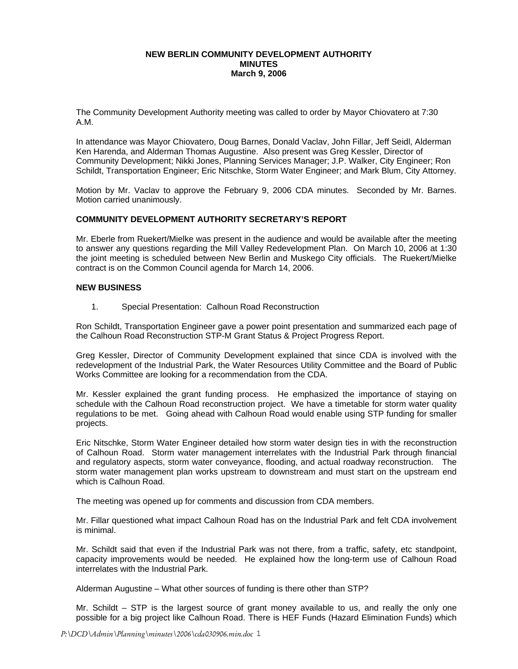#### **NEW BERLIN COMMUNITY DEVELOPMENT AUTHORITY MINUTES March 9, 2006**

The Community Development Authority meeting was called to order by Mayor Chiovatero at 7:30 A.M.

In attendance was Mayor Chiovatero, Doug Barnes, Donald Vaclav, John Fillar, Jeff Seidl, Alderman Ken Harenda, and Alderman Thomas Augustine. Also present was Greg Kessler, Director of Community Development; Nikki Jones, Planning Services Manager; J.P. Walker, City Engineer; Ron Schildt, Transportation Engineer; Eric Nitschke, Storm Water Engineer; and Mark Blum, City Attorney.

Motion by Mr. Vaclav to approve the February 9, 2006 CDA minutes. Seconded by Mr. Barnes. Motion carried unanimously.

## **COMMUNITY DEVELOPMENT AUTHORITY SECRETARY'S REPORT**

Mr. Eberle from Ruekert/Mielke was present in the audience and would be available after the meeting to answer any questions regarding the Mill Valley Redevelopment Plan. On March 10, 2006 at 1:30 the joint meeting is scheduled between New Berlin and Muskego City officials. The Ruekert/Mielke contract is on the Common Council agenda for March 14, 2006.

#### **NEW BUSINESS**

1. Special Presentation: Calhoun Road Reconstruction

Ron Schildt, Transportation Engineer gave a power point presentation and summarized each page of the Calhoun Road Reconstruction STP-M Grant Status & Project Progress Report.

Greg Kessler, Director of Community Development explained that since CDA is involved with the redevelopment of the Industrial Park, the Water Resources Utility Committee and the Board of Public Works Committee are looking for a recommendation from the CDA.

Mr. Kessler explained the grant funding process. He emphasized the importance of staying on schedule with the Calhoun Road reconstruction project. We have a timetable for storm water quality regulations to be met. Going ahead with Calhoun Road would enable using STP funding for smaller projects.

Eric Nitschke, Storm Water Engineer detailed how storm water design ties in with the reconstruction of Calhoun Road. Storm water management interrelates with the Industrial Park through financial and regulatory aspects, storm water conveyance, flooding, and actual roadway reconstruction. The storm water management plan works upstream to downstream and must start on the upstream end which is Calhoun Road.

The meeting was opened up for comments and discussion from CDA members.

Mr. Fillar questioned what impact Calhoun Road has on the Industrial Park and felt CDA involvement is minimal.

Mr. Schildt said that even if the Industrial Park was not there, from a traffic, safety, etc standpoint, capacity improvements would be needed. He explained how the long-term use of Calhoun Road interrelates with the Industrial Park.

Alderman Augustine – What other sources of funding is there other than STP?

Mr. Schildt – STP is the largest source of grant money available to us, and really the only one possible for a big project like Calhoun Road. There is HEF Funds (Hazard Elimination Funds) which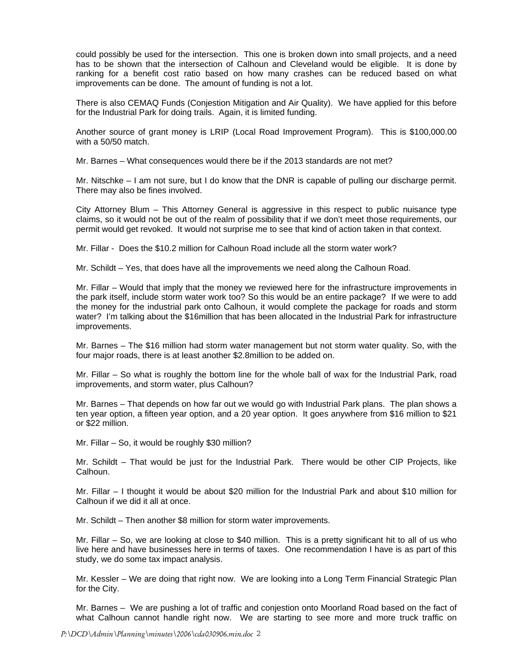could possibly be used for the intersection. This one is broken down into small projects, and a need has to be shown that the intersection of Calhoun and Cleveland would be eligible. It is done by ranking for a benefit cost ratio based on how many crashes can be reduced based on what improvements can be done. The amount of funding is not a lot.

There is also CEMAQ Funds (Conjestion Mitigation and Air Quality). We have applied for this before for the Industrial Park for doing trails. Again, it is limited funding.

Another source of grant money is LRIP (Local Road Improvement Program). This is \$100,000.00 with a 50/50 match.

Mr. Barnes – What consequences would there be if the 2013 standards are not met?

Mr. Nitschke – I am not sure, but I do know that the DNR is capable of pulling our discharge permit. There may also be fines involved.

City Attorney Blum – This Attorney General is aggressive in this respect to public nuisance type claims, so it would not be out of the realm of possibility that if we don't meet those requirements, our permit would get revoked. It would not surprise me to see that kind of action taken in that context.

Mr. Fillar - Does the \$10.2 million for Calhoun Road include all the storm water work?

Mr. Schildt – Yes, that does have all the improvements we need along the Calhoun Road.

Mr. Fillar – Would that imply that the money we reviewed here for the infrastructure improvements in the park itself, include storm water work too? So this would be an entire package? If we were to add the money for the industrial park onto Calhoun, it would complete the package for roads and storm water? I'm talking about the \$16million that has been allocated in the Industrial Park for infrastructure improvements.

Mr. Barnes – The \$16 million had storm water management but not storm water quality. So, with the four major roads, there is at least another \$2.8million to be added on.

Mr. Fillar – So what is roughly the bottom line for the whole ball of wax for the Industrial Park, road improvements, and storm water, plus Calhoun?

Mr. Barnes – That depends on how far out we would go with Industrial Park plans. The plan shows a ten year option, a fifteen year option, and a 20 year option. It goes anywhere from \$16 million to \$21 or \$22 million.

Mr. Fillar – So, it would be roughly \$30 million?

Mr. Schildt – That would be just for the Industrial Park. There would be other CIP Projects, like Calhoun.

Mr. Fillar – I thought it would be about \$20 million for the Industrial Park and about \$10 million for Calhoun if we did it all at once.

Mr. Schildt – Then another \$8 million for storm water improvements.

Mr. Fillar – So, we are looking at close to \$40 million. This is a pretty significant hit to all of us who live here and have businesses here in terms of taxes. One recommendation I have is as part of this study, we do some tax impact analysis.

Mr. Kessler – We are doing that right now. We are looking into a Long Term Financial Strategic Plan for the City.

Mr. Barnes – We are pushing a lot of traffic and conjestion onto Moorland Road based on the fact of what Calhoun cannot handle right now. We are starting to see more and more truck traffic on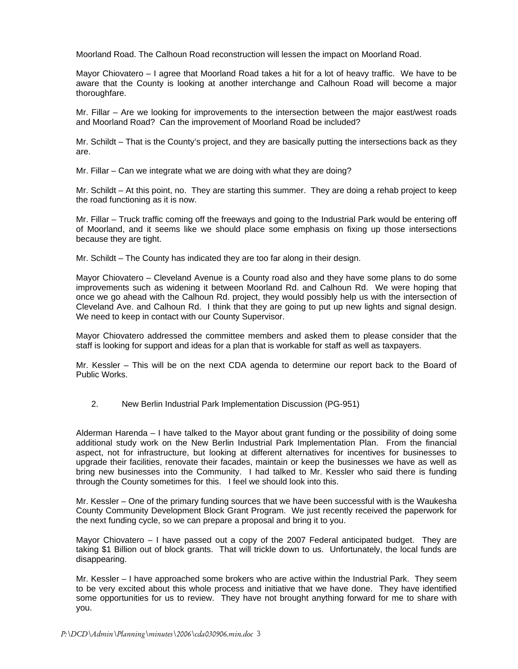Moorland Road. The Calhoun Road reconstruction will lessen the impact on Moorland Road.

Mayor Chiovatero – I agree that Moorland Road takes a hit for a lot of heavy traffic. We have to be aware that the County is looking at another interchange and Calhoun Road will become a major thoroughfare.

Mr. Fillar – Are we looking for improvements to the intersection between the major east/west roads and Moorland Road? Can the improvement of Moorland Road be included?

Mr. Schildt – That is the County's project, and they are basically putting the intersections back as they are.

Mr. Fillar – Can we integrate what we are doing with what they are doing?

Mr. Schildt – At this point, no. They are starting this summer. They are doing a rehab project to keep the road functioning as it is now.

Mr. Fillar – Truck traffic coming off the freeways and going to the Industrial Park would be entering off of Moorland, and it seems like we should place some emphasis on fixing up those intersections because they are tight.

Mr. Schildt – The County has indicated they are too far along in their design.

Mayor Chiovatero – Cleveland Avenue is a County road also and they have some plans to do some improvements such as widening it between Moorland Rd. and Calhoun Rd. We were hoping that once we go ahead with the Calhoun Rd. project, they would possibly help us with the intersection of Cleveland Ave. and Calhoun Rd. I think that they are going to put up new lights and signal design. We need to keep in contact with our County Supervisor.

Mayor Chiovatero addressed the committee members and asked them to please consider that the staff is looking for support and ideas for a plan that is workable for staff as well as taxpayers.

Mr. Kessler – This will be on the next CDA agenda to determine our report back to the Board of Public Works.

2. New Berlin Industrial Park Implementation Discussion (PG-951)

Alderman Harenda – I have talked to the Mayor about grant funding or the possibility of doing some additional study work on the New Berlin Industrial Park Implementation Plan. From the financial aspect, not for infrastructure, but looking at different alternatives for incentives for businesses to upgrade their facilities, renovate their facades, maintain or keep the businesses we have as well as bring new businesses into the Community. I had talked to Mr. Kessler who said there is funding through the County sometimes for this. I feel we should look into this.

Mr. Kessler – One of the primary funding sources that we have been successful with is the Waukesha County Community Development Block Grant Program. We just recently received the paperwork for the next funding cycle, so we can prepare a proposal and bring it to you.

Mayor Chiovatero – I have passed out a copy of the 2007 Federal anticipated budget. They are taking \$1 Billion out of block grants. That will trickle down to us. Unfortunately, the local funds are disappearing.

Mr. Kessler – I have approached some brokers who are active within the Industrial Park. They seem to be very excited about this whole process and initiative that we have done. They have identified some opportunities for us to review. They have not brought anything forward for me to share with you.